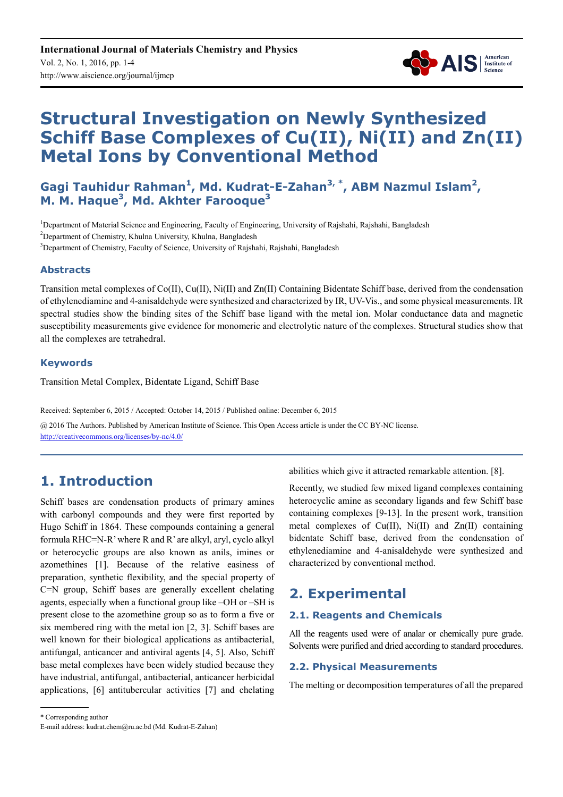

# **Structural Investigation on Newly Synthesized Schiff Base Complexes of Cu(II), Ni(II) and Zn(II) Metal Ions by Conventional Method**

Gagi Tauhidur Rahman<sup>1</sup>, Md. Kudrat-E-Zahan<sup>3, \*</sup>, ABM Nazmul Islam<sup>2</sup>, **M. M. Haque<sup>3</sup> , Md. Akhter Farooque<sup>3</sup>**

<sup>1</sup>Department of Material Science and Engineering, Faculty of Engineering, University of Rajshahi, Rajshahi, Bangladesh <sup>2</sup>Department of Chemistry, Khulna University, Khulna, Bangladesh <sup>3</sup>Department of Chemistry, Faculty of Science, University of Rajshahi, Rajshahi, Bangladesh

#### **Abstracts**

Transition metal complexes of Co(II), Cu(II), Ni(II) and Zn(II) Containing Bidentate Schiff base, derived from the condensation of ethylenediamine and 4-anisaldehyde were synthesized and characterized by IR, UV-Vis., and some physical measurements. IR spectral studies show the binding sites of the Schiff base ligand with the metal ion. Molar conductance data and magnetic susceptibility measurements give evidence for monomeric and electrolytic nature of the complexes. Structural studies show that all the complexes are tetrahedral.

#### **Keywords**

Transition Metal Complex, Bidentate Ligand, Schiff Base

Received: September 6, 2015 / Accepted: October 14, 2015 / Published online: December 6, 2015 @ 2016 The Authors. Published by American Institute of Science. This Open Access article is under the CC BY-NC license.

http://creativecommons.org/licenses/by-nc/4.0/

# **1. Introduction**

Schiff bases are condensation products of primary amines with carbonyl compounds and they were first reported by Hugo Schiff in 1864. These compounds containing a general formula RHC=N-R' where R and R' are alkyl, aryl, cyclo alkyl or heterocyclic groups are also known as anils, imines or azomethines [1]. Because of the relative easiness of preparation, synthetic flexibility, and the special property of C=N group, Schiff bases are generally excellent chelating agents, especially when a functional group like –OH or –SH is present close to the azomethine group so as to form a five or six membered ring with the metal ion [2, 3]. Schiff bases are well known for their biological applications as antibacterial, antifungal, anticancer and antiviral agents [4, 5]. Also, Schiff base metal complexes have been widely studied because they have industrial, antifungal, antibacterial, anticancer herbicidal applications, [6] antitubercular activities [7] and chelating abilities which give it attracted remarkable attention. [8].

Recently, we studied few mixed ligand complexes containing heterocyclic amine as secondary ligands and few Schiff base containing complexes [9-13]. In the present work, transition metal complexes of Cu(II), Ni(II) and Zn(II) containing bidentate Schiff base, derived from the condensation of ethylenediamine and 4-anisaldehyde were synthesized and characterized by conventional method.

# **2. Experimental**

#### **2.1. Reagents and Chemicals**

All the reagents used were of analar or chemically pure grade. Solvents were purified and dried according to standard procedures.

#### **2.2. Physical Measurements**

The melting or decomposition temperatures of all the prepared

\* Corresponding author

E-mail address: kudrat.chem@ru.ac.bd (Md. Kudrat-E-Zahan)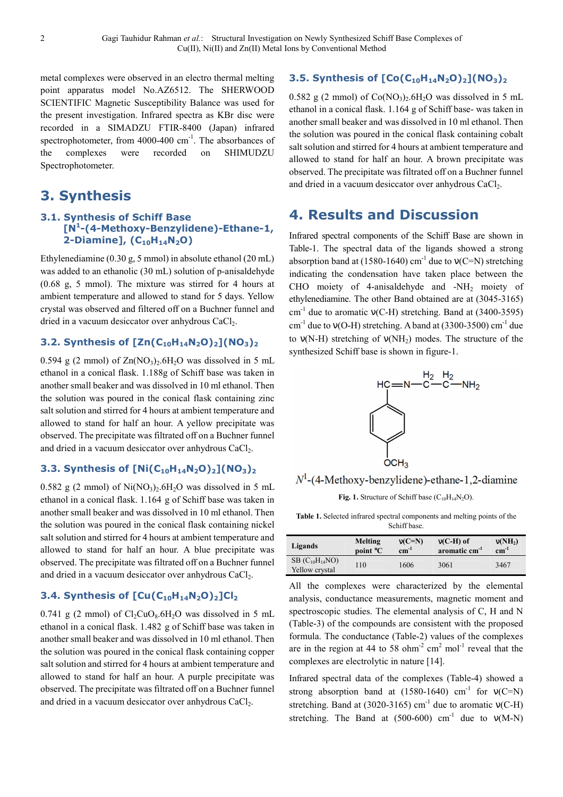metal complexes were observed in an electro thermal melting point apparatus model No.AZ6512. The SHERWOOD SCIENTIFIC Magnetic Susceptibility Balance was used for the present investigation. Infrared spectra as KBr disc were recorded in a SIMADZU FTIR-8400 (Japan) infrared spectrophotometer, from  $4000-400$  cm<sup>-1</sup>. The absorbances of the complexes were recorded on SHIMUDZU Spectrophotometer.

### **3. Synthesis**

#### **3.1. Synthesis of Schiff Base [N<sup>1</sup> -(4-Methoxy-Benzylidene)-Ethane-1, 2-Diamine], (C10H14N2O)**

Ethylenediamine (0.30 g, 5 mmol) in absolute ethanol (20 mL) was added to an ethanolic (30 mL) solution of p-anisaldehyde (0.68 g, 5 mmol). The mixture was stirred for 4 hours at ambient temperature and allowed to stand for 5 days. Yellow crystal was observed and filtered off on a Buchner funnel and dried in a vacuum desiccator over anhydrous CaCl<sub>2</sub>.

#### **3.2. Synthesis of [Zn(C10H14N2O)2](NO3)<sup>2</sup>**

0.594 g (2 mmol) of  $\text{Zn}(\text{NO}_3)$ ,  $6\text{H}_2\text{O}$  was dissolved in 5 mL ethanol in a conical flask. 1.188g of Schiff base was taken in another small beaker and was dissolved in 10 ml ethanol. Then the solution was poured in the conical flask containing zinc salt solution and stirred for 4 hours at ambient temperature and allowed to stand for half an hour. A yellow precipitate was observed. The precipitate was filtrated off on a Buchner funnel and dried in a vacuum desiccator over anhydrous CaCl<sub>2</sub>.

#### **3.3. Synthesis of [Ni(C10H14N2O)2](NO3)<sup>2</sup>**

0.582 g (2 mmol) of  $Ni(NO<sub>3</sub>)<sub>2</sub>·6H<sub>2</sub>O$  was dissolved in 5 mL ethanol in a conical flask. 1.164 g of Schiff base was taken in another small beaker and was dissolved in 10 ml ethanol. Then the solution was poured in the conical flask containing nickel salt solution and stirred for 4 hours at ambient temperature and allowed to stand for half an hour. A blue precipitate was observed. The precipitate was filtrated off on a Buchner funnel and dried in a vacuum desiccator over anhydrous  $CaCl<sub>2</sub>$ .

#### **3.4. Synthesis of [Cu(C10H14N2O)2]Cl<sup>2</sup>**

0.741 g (2 mmol) of  $Cl_2CuO_8.6H_2O$  was dissolved in 5 mL ethanol in a conical flask. 1.482 g of Schiff base was taken in another small beaker and was dissolved in 10 ml ethanol. Then the solution was poured in the conical flask containing copper salt solution and stirred for 4 hours at ambient temperature and allowed to stand for half an hour. A purple precipitate was observed. The precipitate was filtrated off on a Buchner funnel and dried in a vacuum desiccator over anhydrous CaCl<sub>2</sub>.

### **3.5. Synthesis of [Co(C10H14N2O)2](NO3)<sup>2</sup>**

0.582 g (2 mmol) of  $Co(NO<sub>3</sub>)<sub>2</sub>·6H<sub>2</sub>O$  was dissolved in 5 mL ethanol in a conical flask. 1.164 g of Schiff base- was taken in another small beaker and was dissolved in 10 ml ethanol. Then the solution was poured in the conical flask containing cobalt salt solution and stirred for 4 hours at ambient temperature and allowed to stand for half an hour. A brown precipitate was observed. The precipitate was filtrated off on a Buchner funnel and dried in a vacuum desiccator over anhydrous CaCl<sub>2</sub>.

# **4. Results and Discussion**

Infrared spectral components of the Schiff Base are shown in Table-1. The spectral data of the ligands showed a strong absorption band at (1580-1640) cm<sup>-1</sup> due to  $v(C=N)$  stretching indicating the condensation have taken place between the CHO moiety of 4-anisaldehyde and  $-NH<sub>2</sub>$  moiety of ethylenediamine. The other Band obtained are at (3045-3165) cm<sup>-1</sup> due to aromatic  $v(C-H)$  stretching. Band at (3400-3595)  $cm<sup>-1</sup>$  due to  $v(O-H)$  stretching. A band at (3300-3500) cm<sup>-1</sup> due to  $v(N-H)$  stretching of  $v(NH<sub>2</sub>)$  modes. The structure of the synthesized Schiff base is shown in figure-1.



 $N^1$ -(4-Methoxy-benzylidene)-ethane-1,2-diamine

**Fig. 1.** Structure of Schiff base  $(C_{10}H_{14}N_2O)$ .

| <b>Table 1.</b> Selected infrared spectral components and melting points of the |
|---------------------------------------------------------------------------------|
| Schiff base.                                                                    |

| Ligands                                 | Melting              | $v(C=N)$  | $v(C-H)$ of               | v(NH <sub>2</sub> ) |
|-----------------------------------------|----------------------|-----------|---------------------------|---------------------|
|                                         | point <sup>o</sup> C | $cm^{-1}$ | aromatic cm <sup>-1</sup> | $cm^{-1}$           |
| $SB (C_{10}H_{14}NO)$<br>Yellow crystal | 110                  | 1606      | 3061                      | 3467                |

All the complexes were characterized by the elemental analysis, conductance measurements, magnetic moment and spectroscopic studies. The elemental analysis of C, H and N (Table-3) of the compounds are consistent with the proposed formula. The conductance (Table-2) values of the complexes are in the region at 44 to 58  $ohm<sup>-2</sup>$  cm<sup>2</sup> mol<sup>-1</sup> reveal that the complexes are electrolytic in nature [14].

Infrared spectral data of the complexes (Table-4) showed a strong absorption band at  $(1580-1640)$  cm<sup>-1</sup> for  $v(C=N)$ stretching. Band at (3020-3165) cm<sup>-1</sup> due to aromatic  $v(C-H)$ stretching. The Band at  $(500-600)$  cm<sup>-1</sup> due to  $v(M-N)$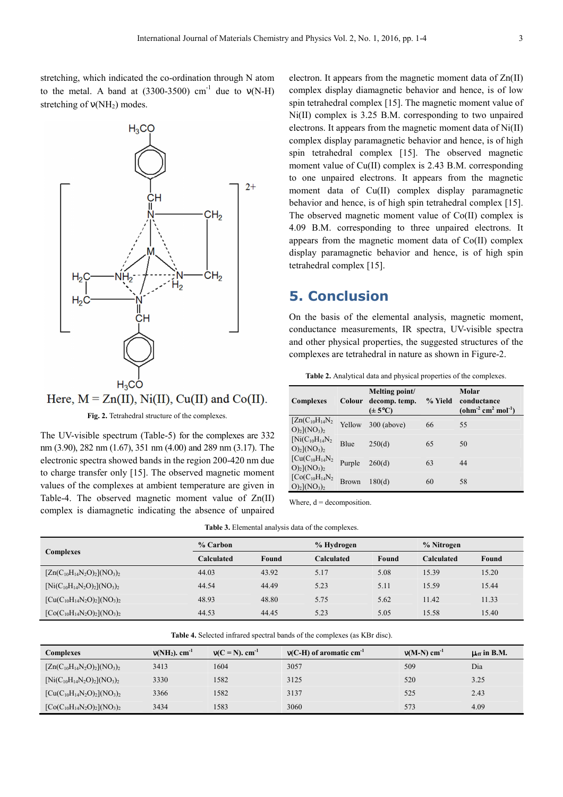stretching, which indicated the co-ordination through N atom to the metal. A band at  $(3300-3500)$  cm<sup>-1</sup> due to  $v(N-H)$ stretching of  $v(NH<sub>2</sub>)$  modes.



Here,  $M = Zn(II)$ , Ni(II), Cu(II) and Co(II).

Fig. 2. Tetrahedral structure of the complexes.

The UV-visible spectrum (Table-5) for the complexes are 332 nm (3.90), 282 nm (1.67), 351 nm (4.00) and 289 nm (3.17). The electronic spectra showed bands in the region 200-420 nm due to charge transfer only [15]. The observed magnetic moment values of the complexes at ambient temperature are given in Table-4. The observed magnetic moment value of Zn(II) complex is diamagnetic indicating the absence of unpaired electron. It appears from the magnetic moment data of Zn(II) complex display diamagnetic behavior and hence, is of low spin tetrahedral complex [15]. The magnetic moment value of Ni(II) complex is 3.25 B.M. corresponding to two unpaired electrons. It appears from the magnetic moment data of Ni(II) complex display paramagnetic behavior and hence, is of high spin tetrahedral complex [15]. The observed magnetic moment value of Cu(II) complex is 2.43 B.M. corresponding to one unpaired electrons. It appears from the magnetic moment data of Cu(II) complex display paramagnetic behavior and hence, is of high spin tetrahedral complex [15]. The observed magnetic moment value of Co(II) complex is 4.09 B.M. corresponding to three unpaired electrons. It appears from the magnetic moment data of Co(II) complex display paramagnetic behavior and hence, is of high spin tetrahedral complex [15].

### **5. Conclusion**

On the basis of the elemental analysis, magnetic moment, conductance measurements, IR spectra, UV-visible spectra and other physical properties, the suggested structures of the complexes are tetrahedral in nature as shown in Figure-2.

| <b>Table 2.</b> Analytical data and physical properties of the complexes. |  |  |
|---------------------------------------------------------------------------|--|--|
|                                                                           |  |  |

| <b>Complexes</b>                                                          | Colour       | Melting point/<br>decomp. temp.<br>$(\pm 5^{\circ}C)$ | % Yield | Molar<br>conductance<br>$(\text{ohm}^2 \text{ cm}^2 \text{ mol}^1)$ |
|---------------------------------------------------------------------------|--------------|-------------------------------------------------------|---------|---------------------------------------------------------------------|
| $[Zn(C_{10}H_{14}N_2$<br>O) <sub>2</sub> ](NO <sub>3</sub> ) <sub>2</sub> | Yellow       | $300$ (above)                                         | 66      | 55                                                                  |
| $[Ni(C_{10}H_{14}N_2$<br>$O_2$ ](NO <sub>3</sub> ) <sub>2</sub>           | Blue         | 250(d)                                                | 65      | 50                                                                  |
| $[Cu(C10H14N2]$<br>$O)_2$ ](NO <sub>3</sub> ) <sub>2</sub>                | Purple       | 260(d)                                                | 63      | 44                                                                  |
| $[Co(C_{10}H_{14}N_2$<br>$O_2$ ](NO <sub>3</sub> ) <sub>2</sub>           | <b>Brown</b> | 180(d)                                                | 60      | 58                                                                  |

Where,  $d =$  decomposition.

| <b>Table 3.</b> Elemental analysis data of the complexes. |  |  |
|-----------------------------------------------------------|--|--|
|-----------------------------------------------------------|--|--|

| <b>Complexes</b>                    | % Carbon   |       | % Hydrogen |       | % Nitrogen |       |
|-------------------------------------|------------|-------|------------|-------|------------|-------|
|                                     | Calculated | Found | Calculated | Found | Calculated | Found |
| $[Zn(C_{10}H_{14}N_2O)_2] (NO_3)_2$ | 44.03      | 43.92 | 5.17       | 5.08  | 15.39      | 15.20 |
| $[Ni(C_{10}H_{14}N_2O)_2](NO_3)_2$  | 44.54      | 44.49 | 5.23       | 5.11  | 15.59      | 15.44 |
| $[Cu(C_{10}H_{14}N_2O)_2](NO_3)_2$  | 48.93      | 48.80 | 5.75       | 5.62  | 11.42      | 11.33 |
| $[Co(C_{10}H_{14}N_2O)_2] (NO_3)_2$ | 44.53      | 44.45 | 5.23       | 5.05  | 15.58      | 15.40 |

| Table 4. Selected infrared spectral bands of the complexes (as KBr disc). |  |  |
|---------------------------------------------------------------------------|--|--|
|---------------------------------------------------------------------------|--|--|

| Complexes                           | $V(NH_2)$ . cm <sup>-1</sup> | $v(C = N)$ , cm <sup>-1</sup> | $V(C-H)$ of aromatic cm <sup>-1</sup> | $v(M-N)$ cm <sup>-1</sup> | $\mu_{\rm eff}$ in B.M. |
|-------------------------------------|------------------------------|-------------------------------|---------------------------------------|---------------------------|-------------------------|
| $[Zn(C_{10}H_{14}N_2O)_2](NO_3)_2$  | 3413                         | 1604                          | 3057                                  | 509                       | Dia                     |
| $[Ni(C_{10}H_{14}N_2O)_2](NO_3)_2$  | 3330                         | 1582                          | 3125                                  | 520                       | 3.25                    |
| $[Cu(C_{10}H_{14}N_2O)_2](NO_3)_2$  | 3366                         | 1582                          | 3137                                  | 525                       | 2.43                    |
| $[Co(C_{10}H_{14}N_2O)_2] (NO_3)_2$ | 3434                         | 1583                          | 3060                                  | 573                       | 4.09                    |